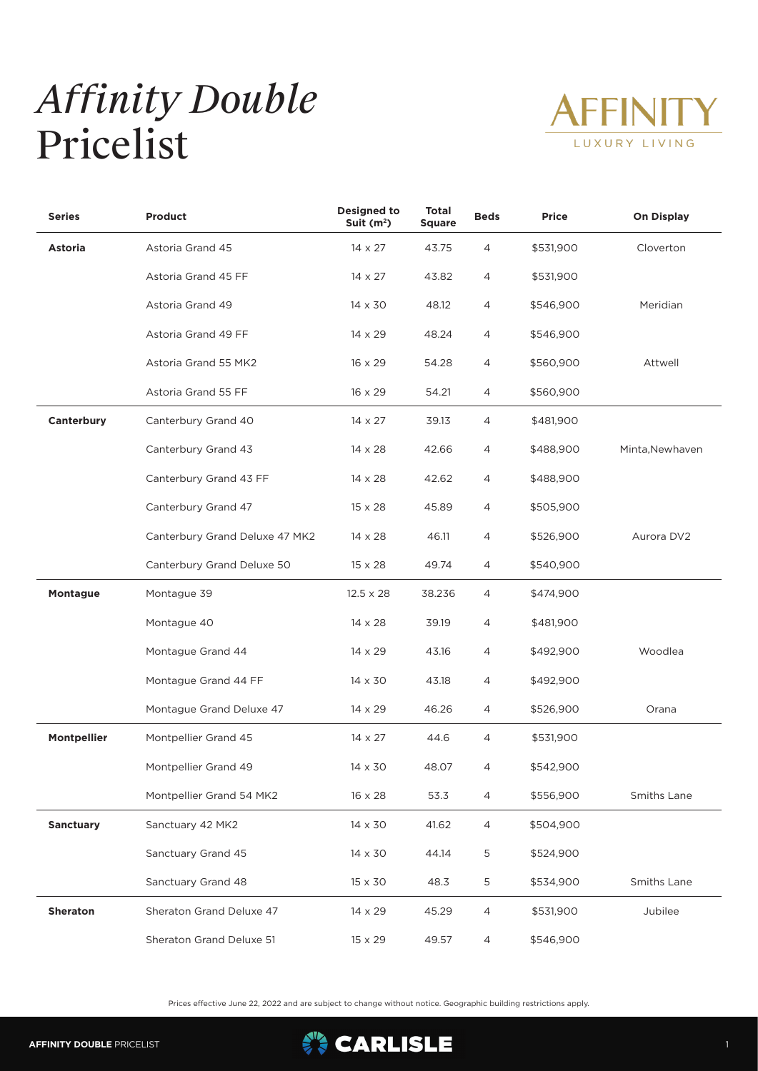## *Affinity Double* Pricelist



| <b>Series</b>      | <b>Product</b>                 | <b>Designed to</b><br>Suit $(m2)$ | <b>Total</b><br><b>Square</b> | <b>Beds</b>    | <b>Price</b> | <b>On Display</b> |
|--------------------|--------------------------------|-----------------------------------|-------------------------------|----------------|--------------|-------------------|
| Astoria            | Astoria Grand 45               | $14 \times 27$                    | 43.75                         | 4              | \$531,900    | Cloverton         |
|                    | Astoria Grand 45 FF            | $14 \times 27$                    | 43.82                         | 4              | \$531,900    |                   |
|                    | Astoria Grand 49               | 14 x 30                           | 48.12                         | $\overline{4}$ | \$546,900    | Meridian          |
|                    | Astoria Grand 49 FF            | 14 x 29                           | 48.24                         | 4              | \$546,900    |                   |
|                    | Astoria Grand 55 MK2           | 16 x 29                           | 54.28                         | $\overline{4}$ | \$560,900    | Attwell           |
|                    | Astoria Grand 55 FF            | 16 x 29                           | 54.21                         | 4              | \$560,900    |                   |
| Canterbury         | Canterbury Grand 40            | $14 \times 27$                    | 39.13                         | 4              | \$481,900    |                   |
|                    | Canterbury Grand 43            | $14 \times 28$                    | 42.66                         | 4              | \$488,900    | Minta, Newhaven   |
|                    | Canterbury Grand 43 FF         | $14 \times 28$                    | 42.62                         | 4              | \$488,900    |                   |
|                    | Canterbury Grand 47            | $15 \times 28$                    | 45.89                         | 4              | \$505,900    |                   |
|                    | Canterbury Grand Deluxe 47 MK2 | $14 \times 28$                    | 46.11                         | 4              | \$526,900    | Aurora DV2        |
|                    | Canterbury Grand Deluxe 50     | $15 \times 28$                    | 49.74                         | 4              | \$540,900    |                   |
| Montague           | Montague 39                    | $12.5 \times 28$                  | 38.236                        | 4              | \$474,900    |                   |
|                    | Montague 40                    | $14 \times 28$                    | 39.19                         | 4              | \$481,900    |                   |
|                    | Montague Grand 44              | 14 x 29                           | 43.16                         | 4              | \$492,900    | Woodlea           |
|                    | Montague Grand 44 FF           | 14 x 30                           | 43.18                         | 4              | \$492,900    |                   |
|                    | Montague Grand Deluxe 47       | 14 x 29                           | 46.26                         | 4              | \$526,900    | Orana             |
| <b>Montpellier</b> | Montpellier Grand 45           | $14 \times 27$                    | 44.6                          | $\overline{4}$ | \$531,900    |                   |
|                    | Montpellier Grand 49           | $14 \times 30$                    | 48.07                         | 4              | \$542,900    |                   |
|                    | Montpellier Grand 54 MK2       | $16 \times 28$                    | 53.3                          | 4              | \$556,900    | Smiths Lane       |
| <b>Sanctuary</b>   | Sanctuary 42 MK2               | $14 \times 30$                    | 41.62                         | 4              | \$504,900    |                   |
|                    | Sanctuary Grand 45             | 14 x 30                           | 44.14                         | 5              | \$524,900    |                   |
|                    | Sanctuary Grand 48             | 15 x 30                           | 48.3                          | 5              | \$534,900    | Smiths Lane       |
| Sheraton           | Sheraton Grand Deluxe 47       | 14 x 29                           | 45.29                         | 4              | \$531,900    | Jubilee           |
|                    | Sheraton Grand Deluxe 51       | 15 x 29                           | 49.57                         | 4              | \$546,900    |                   |

Prices effective June 22, 2022 and are subject to change without notice. Geographic building restrictions apply.